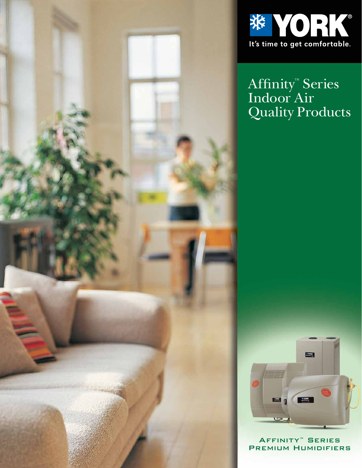



Affinity™ Series Indoor Air Quality Products



Affinity™ Series Premium Humidifiers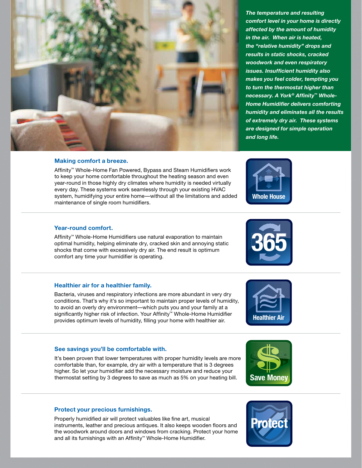

*The temperature and resulting comfort level in your home is directly affected by the amount of humidity in the air. When air is heated, the "relative humidity" drops and results in static shocks, cracked woodwork and even respiratory issues. Insufficient humidity also makes you feel colder, tempting you to turn the thermostat higher than*  necessary. A York<sup>®</sup> Affinity™ Whole-**Home Humidifier delivers comforting** *humidity and eliminates all the results of extremely dry air. These systems are designed for simple operation and long life.*

## **Making comfort a breeze.**

Affinity™ Whole-Home Fan Powered, Bypass and Steam Humidifiers work to keep your home comfortable throughout the heating season and even year-round in those highly dry climates where humidity is needed virtually every day. These systems work seamlessly through your existing HVAC system, humidifying your entire home—without all the limitations and added maintenance of single room humidifiers.

## **Year-round comfort.**

Affinity™ Whole-Home Humidifiers use natural evaporation to maintain optimal humidity, helping eliminate dry, cracked skin and annoying static shocks that come with excessively dry air. The end result is optimum comfort any time your humidifier is operating.

## **Healthier air for a healthier family.**

Bacteria, viruses and respiratory infections are more abundant in very dry conditions. That's why it's so important to maintain proper levels of humidity, to avoid an overly dry environment—which puts you and your family at a significantly higher risk of infection. Your Affinity™ Whole-Home Humidifier provides optimum levels of humidity, filling your home with healthier air. **Healthier Air**<br>provides optimum levels of humidity, filling your home with healthier air.

## **See savings you'll be comfortable with.**

It's been proven that lower temperatures with proper humidity levels are more comfortable than, for example, dry air with a temperature that is 3 degrees higher. So let your humidifier add the necessary moisture and reduce your thermostat setting by 3 degrees to save as much as 5% on your heating bill. **Save Money** 

## **Protect your precious furnishings.**

Properly humidified air will protect valuables like fine art, musical instruments, leather and precious antiques. It also keeps wooden floors and the woodwork around doors and windows from cracking. Protect your home and all its furnishings with an Affinity™ Whole-Home Humidifier.









**Whole House**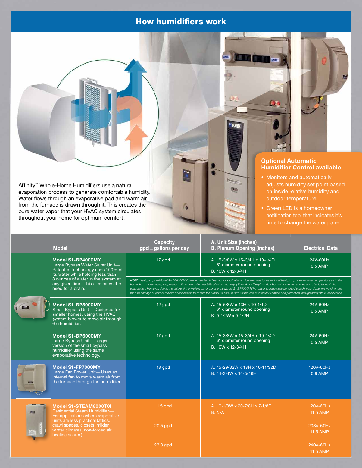# How humidifiers work



 $\qquad \qquad \bullet$ 



## **Optional Automatic Humidifier Control available**

- Monitors and automatically adjusts humidity set point based on inside relative humidity and outdoor temperature.
- Green LED is a homeowner notification tool that indicates it's time to change the water panel.

|            | <b>Model</b>                                                                                                                                                                                                                    | <b>Capacity</b><br>gpd = gallons per day                                                                                                                                                                                                                                                                                                                                                                                                                                                                                                                                                                                                                                                   | A. Unit Size (inches)<br><b>B. Plenum Opening (inches)</b>                      | <b>Electrical Data</b> |
|------------|---------------------------------------------------------------------------------------------------------------------------------------------------------------------------------------------------------------------------------|--------------------------------------------------------------------------------------------------------------------------------------------------------------------------------------------------------------------------------------------------------------------------------------------------------------------------------------------------------------------------------------------------------------------------------------------------------------------------------------------------------------------------------------------------------------------------------------------------------------------------------------------------------------------------------------------|---------------------------------------------------------------------------------|------------------------|
|            | Model S1-BP4000MY<br>Large Bypass Water Saver Unit-<br>Patented technology uses 100% of<br>its water while holding less than<br>8 ounces of water in the system at<br>any given time. This eliminates the<br>need for a drain.  | 17 gpd                                                                                                                                                                                                                                                                                                                                                                                                                                                                                                                                                                                                                                                                                     | A. 15-3/8W x 15-3/4H x 10-1/4D<br>6" diameter round opening<br>B. 10W x 12-3/4H | 24V-60Hz<br>0.5 AMP    |
|            |                                                                                                                                                                                                                                 | NOTE: Heat pumps-Model S1-BP4000MY can be installed in heat pump applications. However, due to the fact that heat pumps deliver lower temperature air to the<br>home than gas furnaces, evaporation will be approximately 60% of rated capacity. (With other Affinity <sup>14</sup> models hot water can be used instead of cold to maximize<br>evaporation. However, due to the nature of the wicking water panel in the Model S1-BP4000MY hot water provides less benefit.) As such, your dealer will need to take<br>the size and age of your home into consideration to ensure the Model S1-BP4000MY will provide satisfactory comfort and protection through adequate humidification. |                                                                                 |                        |
|            | Model S1-BP5000MY<br>Small Bypass Unit-Designed for<br>smaller homes, using the HVAC<br>system blower to move air through<br>the humidifier.                                                                                    | 12 apd                                                                                                                                                                                                                                                                                                                                                                                                                                                                                                                                                                                                                                                                                     | A. 15-5/8W x 13H x 10-1/4D<br>6" diameter round opening<br>B. 9-1/2W x 9-1/2H   | 24V-60Hz<br>0.5 AMP    |
|            | Model S1-BP6000MY<br>Large Bypass Unit-Larger<br>version of the small bypass<br>humidifier using the same<br>evaporative technology.                                                                                            | 17 gpd                                                                                                                                                                                                                                                                                                                                                                                                                                                                                                                                                                                                                                                                                     | A. 15-3/8W x 15-3/4H x 10-1/4D<br>6" diameter round opening<br>B. 10W x 12-3/4H | 24V-60Hz<br>0.5 AMP    |
| <b>SHO</b> | Model S1-FP7000MY<br>Large Fan Power Unit-Uses an<br>internal fan to move warm air from<br>the furnace through the humidifier.                                                                                                  | 18 gpd                                                                                                                                                                                                                                                                                                                                                                                                                                                                                                                                                                                                                                                                                     | A. 15-29/32W x 18H x 10-11/32D<br>B. 14-3/4W x 14-5/16H                         | 120V-60Hz<br>0.8 AMP   |
| 国          | Model S1-STEAM8000T0I<br><b>Residential Steam Humidifier-</b><br>For applications when evaporative<br>units are less practical (attics,<br>crawl spaces, closets, milder<br>winter climates, non-forced air<br>heating source). | $11.5$ gpd                                                                                                                                                                                                                                                                                                                                                                                                                                                                                                                                                                                                                                                                                 | A. 10-1/8W x 20-7/8H x 7-1/8D<br>B. N/A                                         | 120V-60Hz<br>11.5 AMP  |
|            |                                                                                                                                                                                                                                 | $20.5$ gpd                                                                                                                                                                                                                                                                                                                                                                                                                                                                                                                                                                                                                                                                                 |                                                                                 | 208V-60Hz<br>11.5 AMP  |
|            |                                                                                                                                                                                                                                 | 23.3 gpd                                                                                                                                                                                                                                                                                                                                                                                                                                                                                                                                                                                                                                                                                   |                                                                                 | 240V-60Hz<br>11.5 AMP  |

 $\bullet$ 

Affinity™ Whole-Home Humidifiers use a natural evaporation process to generate comfortable humidity. Water flows through an evaporative pad and warm air from the furnace is drawn through it. This creates the pure water vapor that your HVAC system circulates throughout your home for optimum comfort.